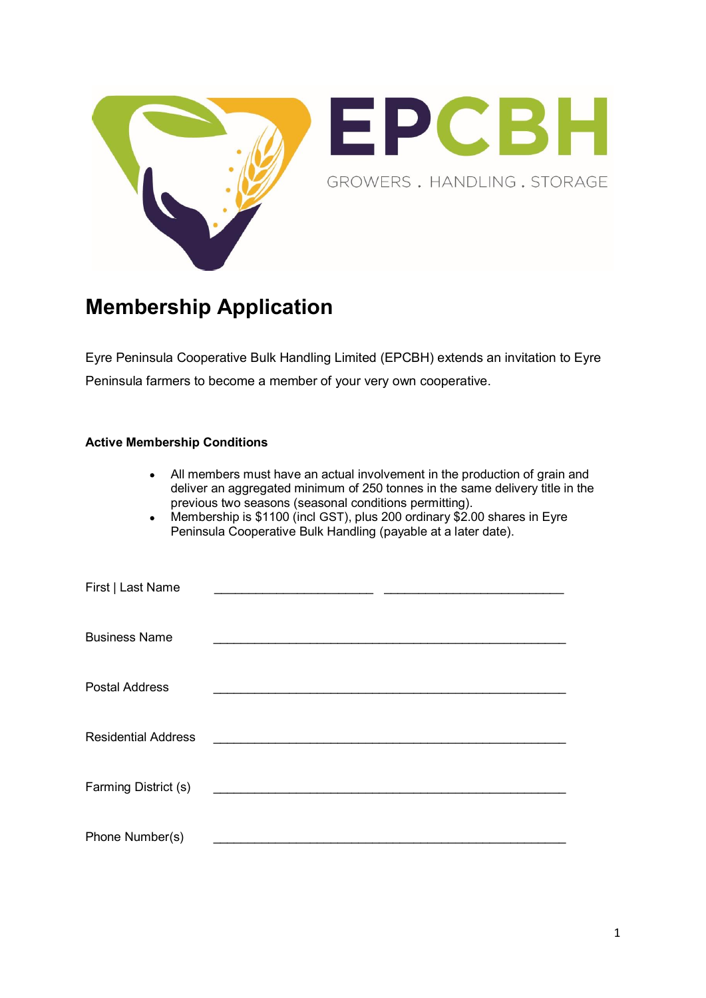



## **Membership Application**

Eyre Peninsula Cooperative Bulk Handling Limited (EPCBH) extends an invitation to Eyre Peninsula farmers to become a member of your very own cooperative.

## **Active Membership Conditions**

| All members must have an actual involvement in the production of grain and<br>deliver an aggregated minimum of 250 tonnes in the same delivery title in the<br>previous two seasons (seasonal conditions permitting).<br>Membership is \$1100 (incl GST), plus 200 ordinary \$2.00 shares in Eyre<br>$\bullet$<br>Peninsula Cooperative Bulk Handling (payable at a later date). |
|----------------------------------------------------------------------------------------------------------------------------------------------------------------------------------------------------------------------------------------------------------------------------------------------------------------------------------------------------------------------------------|
| First   Last Name                                                                                                                                                                                                                                                                                                                                                                |
| <b>Business Name</b>                                                                                                                                                                                                                                                                                                                                                             |
| <b>Postal Address</b>                                                                                                                                                                                                                                                                                                                                                            |
| <b>Residential Address</b>                                                                                                                                                                                                                                                                                                                                                       |
| Farming District (s)                                                                                                                                                                                                                                                                                                                                                             |
| Phone Number(s)                                                                                                                                                                                                                                                                                                                                                                  |